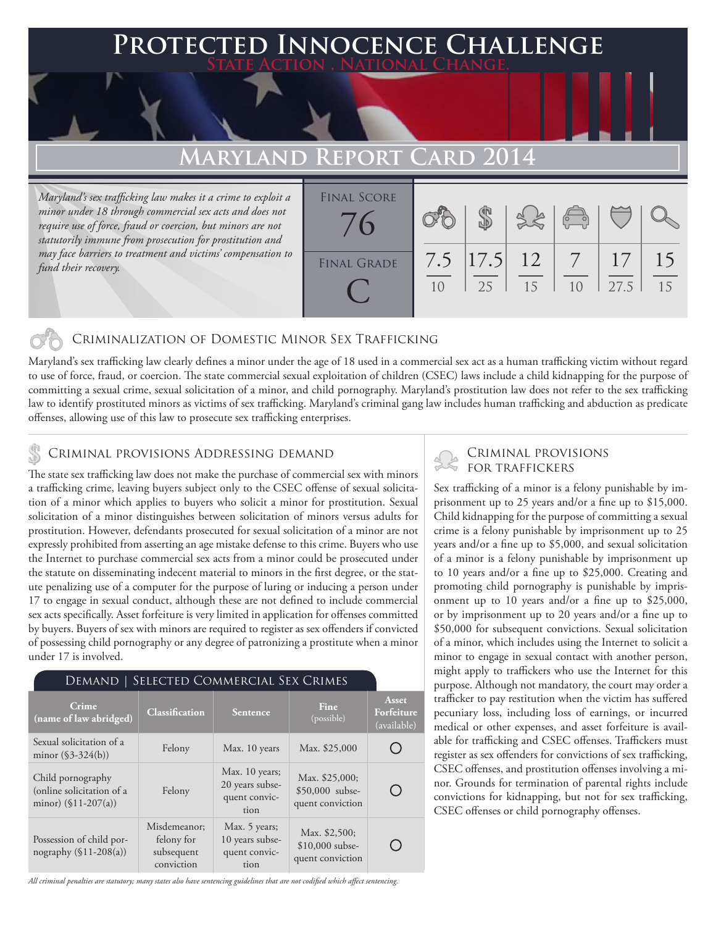### **FD INNOCENCE CHALLENGE State Action . National Change.**

# **MARYLAND REPO**

*Maryland's sex trafficking law makes it a crime to exploit a minor under 18 through commercial sex acts and does not require use of force, fraud or coercion, but minors are not statutorily immune from prosecution for prostitution and may face barriers to treatment and victims' compensation to fund their recovery.*

| <b>FINAL SCORE</b> |           |                   |    | $\begin{pmatrix} 0 & 0 \\ 0 & 0 \end{pmatrix}$ |            |          |
|--------------------|-----------|-------------------|----|------------------------------------------------|------------|----------|
| <b>FINAL GRADE</b> | 7.5<br>10 | $ 17.5 $ 12<br>25 | 15 | $7\overline{ }$<br>1 <sub>0</sub>              | 17<br>27.5 | 15<br>15 |

#### Criminalization of Domestic Minor Sex Trafficking

Maryland's sex trafficking law clearly defines a minor under the age of 18 used in a commercial sex act as a human trafficking victim without regard to use of force, fraud, or coercion. The state commercial sexual exploitation of children (CSEC) laws include a child kidnapping for the purpose of committing a sexual crime, sexual solicitation of a minor, and child pornography. Maryland's prostitution law does not refer to the sex trafficking law to identify prostituted minors as victims of sex trafficking. Maryland's criminal gang law includes human trafficking and abduction as predicate offenses, allowing use of this law to prosecute sex trafficking enterprises.

## CRIMINAL PROVISIONS ADDRESSING DEMAND<br>FOR TRAFFICKERS

The state sex trafficking law does not make the purchase of commercial sex with minors a trafficking crime, leaving buyers subject only to the CSEC offense of sexual solicitation of a minor which applies to buyers who solicit a minor for prostitution. Sexual solicitation of a minor distinguishes between solicitation of minors versus adults for prostitution. However, defendants prosecuted for sexual solicitation of a minor are not expressly prohibited from asserting an age mistake defense to this crime. Buyers who use the Internet to purchase commercial sex acts from a minor could be prosecuted under the statute on disseminating indecent material to minors in the first degree, or the statute penalizing use of a computer for the purpose of luring or inducing a person under 17 to engage in sexual conduct, although these are not defined to include commercial sex acts specifically. Asset forfeiture is very limited in application for offenses committed by buyers. Buyers of sex with minors are required to register as sex offenders if convicted of possessing child pornography or any degree of patronizing a prostitute when a minor under 17 is involved.

#### Demand | Selected Commercial Sex Crimes

| Crime<br>(name of law abridged)                                          | <b>Classification</b>                                  | <b>Sentence</b>                                            | Fine<br>(possible)                                    | Asset<br>Forfeiture<br>(available) |
|--------------------------------------------------------------------------|--------------------------------------------------------|------------------------------------------------------------|-------------------------------------------------------|------------------------------------|
| Sexual solicitation of a<br>minor $(\$3-324(b))$                         | Felony                                                 | Max. 10 years                                              | Max. \$25,000                                         |                                    |
| Child pornography<br>(online solicitation of a<br>minor) $(\$11-207(a))$ | Felony                                                 | Max. 10 years;<br>20 years subse-<br>quent convic-<br>tion | Max. \$25,000;<br>\$50,000 subse-<br>quent conviction |                                    |
| Possession of child por-<br>nography $(\$11-208(a))$                     | Misdemeanor;<br>felony for<br>subsequent<br>conviction | Max. 5 years;<br>10 years subse-<br>quent convic-<br>tion  | Max. \$2,500;<br>$$10,000$ subse-<br>quent conviction |                                    |

*All criminal penalties are statutory; many states also have sentencing guidelines that are not codified which affect sentencing.* 

# Criminal provisions

Sex trafficking of a minor is a felony punishable by imprisonment up to 25 years and/or a fine up to \$15,000. Child kidnapping for the purpose of committing a sexual crime is a felony punishable by imprisonment up to 25 years and/or a fine up to \$5,000, and sexual solicitation of a minor is a felony punishable by imprisonment up to 10 years and/or a fine up to \$25,000. Creating and promoting child pornography is punishable by imprisonment up to 10 years and/or a fine up to \$25,000, or by imprisonment up to 20 years and/or a fine up to \$50,000 for subsequent convictions. Sexual solicitation of a minor, which includes using the Internet to solicit a minor to engage in sexual contact with another person, might apply to traffickers who use the Internet for this purpose. Although not mandatory, the court may order a trafficker to pay restitution when the victim has suffered pecuniary loss, including loss of earnings, or incurred medical or other expenses, and asset forfeiture is available for trafficking and CSEC offenses. Traffickers must register as sex offenders for convictions of sex trafficking, CSEC offenses, and prostitution offenses involving a minor. Grounds for termination of parental rights include convictions for kidnapping, but not for sex trafficking, CSEC offenses or child pornography offenses.